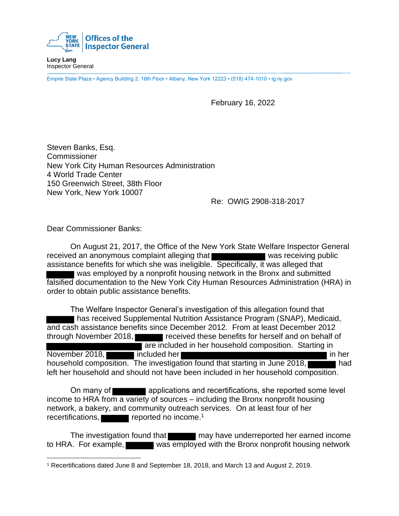

**Lucy Lang** Inspector General

Empire State Plaza • Agency Building 2, 16th Floor • Albany, New York 12223 • (518) 474-1010 • ig.ny.gov

February 16, 2022

Steven Banks, Esq. Commissioner New York City Human Resources Administration 4 World Trade Center 150 Greenwich Street, 38th Floor New York, New York 10007

Re: OWIG 2908-318-2017

Dear Commissioner Banks:

On August 21, 2017, the Office of the New York State Welfare Inspector General received an anonymous complaint alleging that was receiving public assistance benefits for which she was ineligible. Specifically, it was alleged that was employed by a nonprofit housing network in the Bronx and submitted falsified documentation to the New York City Human Resources Administration (HRA) in order to obtain public assistance benefits.

The Welfare Inspector General's investigation of this allegation found that has received Supplemental Nutrition Assistance Program (SNAP), Medicaid, and cash assistance benefits since December 2012. From at least December 2012 through November 2018, received these benefits for herself and on behalf of **Tare included in her household composition. Starting in** November 2018, included her included her in her in her in her in her household composition. The investigation found that starting in June 2018, left her household and should not have been included in her household composition.

On many of **and applications and recertifications**, she reported some level income to HRA from a variety of sources – including the Bronx nonprofit housing network, a bakery, and community outreach services. On at least four of her recertifications, reported no income.<sup>1</sup>

The investigation found that may have underreported her earned income to HRA. For example, was employed with the Bronx nonprofit housing network

<sup>1</sup> Recertifications dated June 8 and September 18, 2018, and March 13 and August 2, 2019.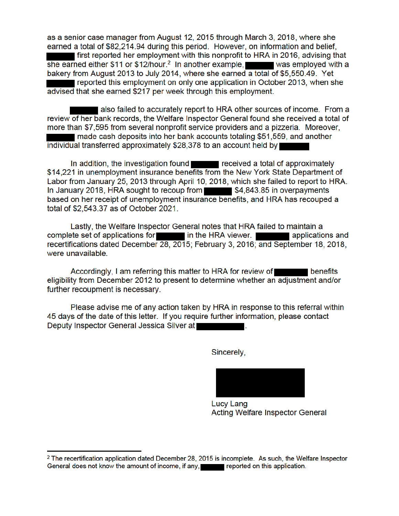as a senior case manager from August 12, 2015 through March 3, 2018, where she earned a total of \$82,214.94 during this period. However, on information and belief, I first reported her employment with this nonprofit to HRA in 2016, advising that she earned either \$11 or \$12/hour.<sup>2</sup> In another example,  $\blacksquare$  was employed with a bakery from August 2013 to July 2014, where she earned a total of \$5,550.49. Yet reported this employment on only one application in October 2013, when she advised that she earned \$217 per week through this employment.

also failed to accurately report to HRA other sources of income. From a review of her bank records, the Welfare Inspector General found she received a total of more than \$7,595 from several nonprofit service providers and a pizzeria. Moreover, made cash deposits into her bank accounts totaling \$51,559, and another individual transferred approximately \$28,378 to an account held by

In addition, the investigation found **the contract of the example of approximately** \$14,221 in unemployment insurance benefits from the New York State Department of Labor from January 25, 2013 through April 10, 2018, which she failed to report to HRA. In January 2018, HRA sought to recoup from \$4,843.85 in overpayments based on her receipt of unemployment insurance benefits, and HRA has recouped a total of \$2,543.37 as of October 2021.

Lastly, the Welfare Inspector General notes that HRA failed to maintain a complete set of applications for in the HRA viewer. applications and recertifications dated December 28, 2015; February 3, 2016; and September 18, 2018, were unavailable.

Accordingly, I am referring this matter to HRA for review of **Example 19 benefits** eligibility from December 2012 to present to determine whether an adjustment and/or further recoupment is necessary.

Please advise me of any action taken by HRA in response to this referral within 45 days of the date of this letter. If you require further information, please contact Deputy Inspector General Jessica Silver at

Sincerely,

Lucy Lang Acting Welfare Inspector General

 $2$  The recertification application dated December 28, 2015 is incomplete. As such, the Welfare Inspector General does not know the amount of income, if any, **Example 20** reported on this application.